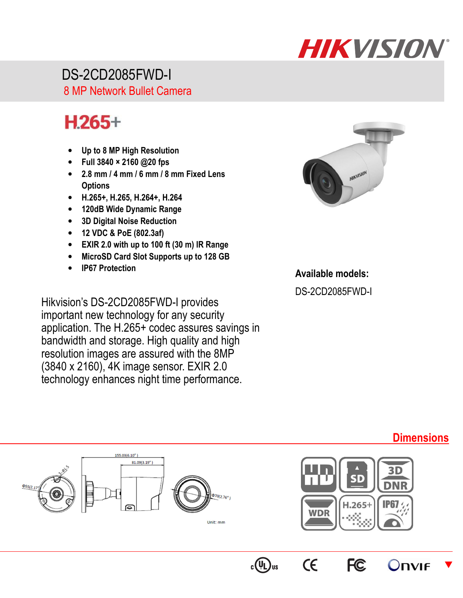## **HIKVISION**

 DS-2CD2085FWD-I 8 MP Network Bullet Camera

## $H.265+$

- **Up to 8 MP High Resolution**
- **Full 3840 × 2160 @20 fps**
- **2.8 mm / 4 mm / 6 mm / 8 mm Fixed Lens Options**
- **H.265+, H.265, H.264+, H.264**
- **120dB Wide Dynamic Range**
- **3D Digital Noise Reduction**
- **12 VDC & PoE (802.3af)**
- **EXIR 2.0 with up to 100 ft (30 m) IR Range**
- **MicroSD Card Slot Supports up to 128 GB**
- **IP67 Protection**

Hikvision's DS-2CD2085FWD-I provides important new technology for any security application. The H.265+ codec assures savings in bandwidth and storage. High quality and high resolution images are assured with the 8MP (3840 x 2160), 4K image sensor. EXIR 2.0 technology enhances night time performance.



## **Available models:**

DS-2CD2085FWD-I